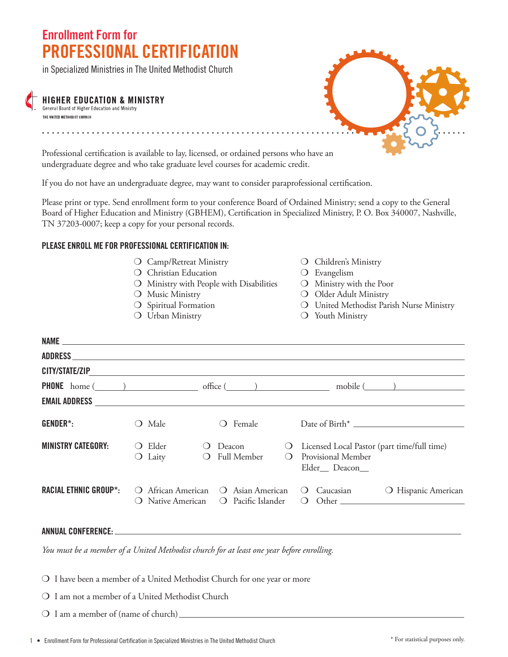# **Enrollment Form for PROFESSIONAL CERTIFICATION**

in Specialized Ministries in The United Methodist Church

### **HIGHER EDUCATION & MINISTRY**

General Board of Higher Education and Ministry THE UNITED METHODIST CHURCH

. . . . . . . . . . .

Professional certification is available to lay, licensed, or ordained persons who have an undergraduate degree and who take graduate level courses for academic credit.

If you do not have an undergraduate degree, may want to consider paraprofessional certification.

Please print or type. Send enrollment form to your conference Board of Ordained Ministry; send a copy to the General Board of Higher Education and Ministry (GBHEM), Certification in Specialized Ministry, P. O. Box 340007, Nashville, TN 37203-0007; keep a copy for your personal records.

#### **PLEASE ENROLL ME FOR PROFESSIONAL CERTIFICATION IN:**

- O Camp/Retreat Ministry **Camp/Retreat Ministry Children's Ministry**
- O Christian Education **Canadian Example 1** O Evangelism
- $\overline{O}$  Ministry with People with Disabilities  $\overline{O}$  Ministry with the Poor
- 
- 
- 
- 
- 
- 
- O Music Ministry **O** Older Adult Ministry
- O Spiritual Formation and Music United Methodist Parish Nurse Ministry
- O Urban Ministry **Canadian Ministry** O Youth Ministry

| CITY/STATE/ZIP                                                     |                                                     |                                                                             |             |                                                                                                                                                                                                                                                                                                     |  |
|--------------------------------------------------------------------|-----------------------------------------------------|-----------------------------------------------------------------------------|-------------|-----------------------------------------------------------------------------------------------------------------------------------------------------------------------------------------------------------------------------------------------------------------------------------------------------|--|
| <b>PHONE</b> home $(\_\_\_\_\_$ and $(\_\_\_\_$ office $(\_\_\_\_$ |                                                     |                                                                             |             | $\text{mobile}(\_\_\_\_)$                                                                                                                                                                                                                                                                           |  |
| <b>EMAIL ADDRESS</b>                                               |                                                     | <u> 1989 - John Stone, amerikansk politiker (d. 1989)</u>                   |             |                                                                                                                                                                                                                                                                                                     |  |
| GENDER*:                                                           | Male<br>$\Box$                                      | Female<br>$\left( \right)$                                                  |             |                                                                                                                                                                                                                                                                                                     |  |
| <b>MINISTRY CATEGORY:</b>                                          | Elder<br>$\left( \quad \right)$<br>$\bigcirc$ Laity | Deacon<br>$\qquad \qquad \bullet$<br><b>Full Member</b><br>$\left( \right)$ | $\cup$<br>◯ | Licensed Local Pastor (part time/full time)<br>Provisional Member<br>Elder Deacon                                                                                                                                                                                                                   |  |
| <b>RACIAL ETHNIC GROUP*:</b>                                       | African American $\Omega$<br>$\left( \right)$       | Asian American<br>Pacific Islander<br>Native American $\bigcirc$            |             | O Hispanic American<br>Caucasian<br>$\cup$<br>$Other$ and $Q$ and $Q$ and $Q$ and $Q$ and $Q$ and $Q$ and $Q$ and $Q$ and $Q$ and $Q$ and $Q$ and $Q$ and $Q$ and $Q$ and $Q$ and $Q$ and $Q$ and $Q$ and $Q$ and $Q$ and $Q$ and $Q$ and $Q$ and $Q$ and $Q$ and $Q$ and $Q$ a<br>$\left( \right)$ |  |

#### **ANNUAL CONFERENCE:**

*You must be a member of a United Methodist church for at least one year before enrolling.*

- O I have been a member of a United Methodist Church for one year or more
- $\Omega$  I am not a member of a United Methodist Church
- $\bigcirc$  I am a member of (name of church)